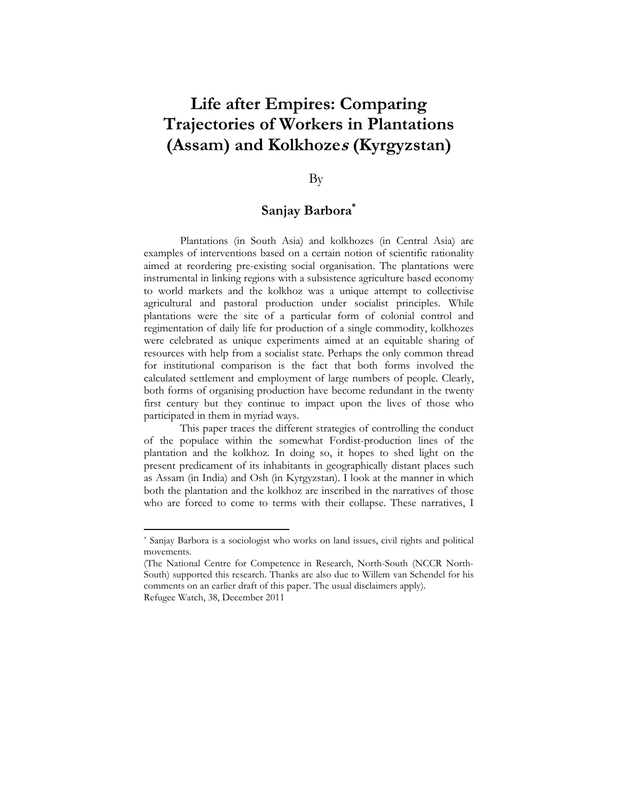# Life after Empires: Comparing Trajectories of Workers in Plantations (Assam) and Kolkhozes (Kyrgyzstan)

By

## Sanjay Barbora\*

 Plantations (in South Asia) and kolkhozes (in Central Asia) are examples of interventions based on a certain notion of scientific rationality aimed at reordering pre-existing social organisation. The plantations were instrumental in linking regions with a subsistence agriculture based economy to world markets and the kolkhoz was a unique attempt to collectivise agricultural and pastoral production under socialist principles. While plantations were the site of a particular form of colonial control and regimentation of daily life for production of a single commodity, kolkhozes were celebrated as unique experiments aimed at an equitable sharing of resources with help from a socialist state. Perhaps the only common thread for institutional comparison is the fact that both forms involved the calculated settlement and employment of large numbers of people. Clearly, both forms of organising production have become redundant in the twenty first century but they continue to impact upon the lives of those who participated in them in myriad ways.

 This paper traces the different strategies of controlling the conduct of the populace within the somewhat Fordist-production lines of the plantation and the kolkhoz. In doing so, it hopes to shed light on the present predicament of its inhabitants in geographically distant places such as Assam (in India) and Osh (in Kyrgyzstan). I look at the manner in which both the plantation and the kolkhoz are inscribed in the narratives of those who are forced to come to terms with their collapse. These narratives, I

l

<sup>\*</sup> Sanjay Barbora is a sociologist who works on land issues, civil rights and political movements.

<sup>(</sup>The National Centre for Competence in Research, North-South (NCCR North-South) supported this research. Thanks are also due to Willem van Schendel for his comments on an earlier draft of this paper. The usual disclaimers apply). Refugee Watch, 38, December 2011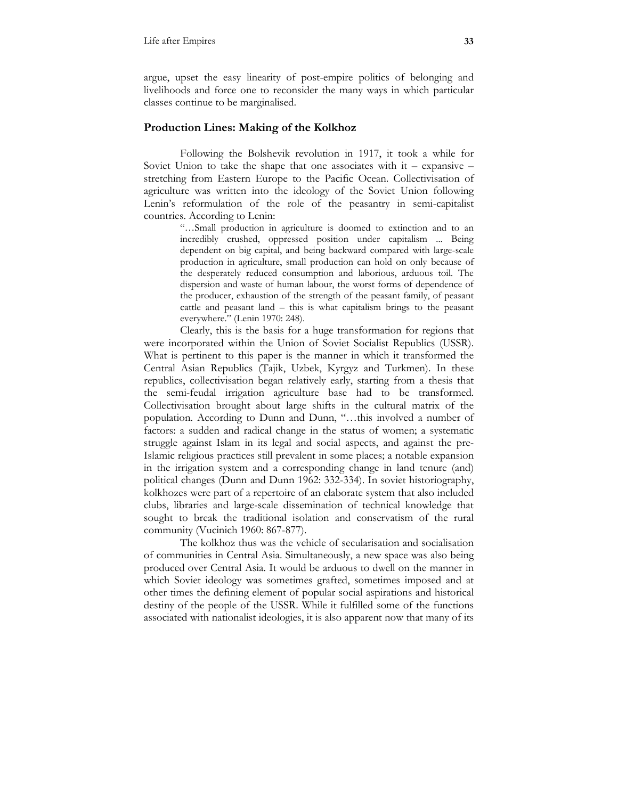argue, upset the easy linearity of post-empire politics of belonging and livelihoods and force one to reconsider the many ways in which particular classes continue to be marginalised.

#### Production Lines: Making of the Kolkhoz

 Following the Bolshevik revolution in 1917, it took a while for Soviet Union to take the shape that one associates with  $it -$  expansive  $$ stretching from Eastern Europe to the Pacific Ocean. Collectivisation of agriculture was written into the ideology of the Soviet Union following Lenin's reformulation of the role of the peasantry in semi-capitalist countries. According to Lenin:

> "…Small production in agriculture is doomed to extinction and to an incredibly crushed, oppressed position under capitalism ... Being dependent on big capital, and being backward compared with large-scale production in agriculture, small production can hold on only because of the desperately reduced consumption and laborious, arduous toil. The dispersion and waste of human labour, the worst forms of dependence of the producer, exhaustion of the strength of the peasant family, of peasant cattle and peasant land – this is what capitalism brings to the peasant everywhere." (Lenin 1970: 248).

 Clearly, this is the basis for a huge transformation for regions that were incorporated within the Union of Soviet Socialist Republics (USSR). What is pertinent to this paper is the manner in which it transformed the Central Asian Republics (Tajik, Uzbek, Kyrgyz and Turkmen). In these republics, collectivisation began relatively early, starting from a thesis that the semi-feudal irrigation agriculture base had to be transformed. Collectivisation brought about large shifts in the cultural matrix of the population. According to Dunn and Dunn, "…this involved a number of factors: a sudden and radical change in the status of women; a systematic struggle against Islam in its legal and social aspects, and against the pre-Islamic religious practices still prevalent in some places; a notable expansion in the irrigation system and a corresponding change in land tenure (and) political changes (Dunn and Dunn 1962: 332-334). In soviet historiography, kolkhozes were part of a repertoire of an elaborate system that also included clubs, libraries and large-scale dissemination of technical knowledge that sought to break the traditional isolation and conservatism of the rural community (Vucinich 1960: 867-877).

 The kolkhoz thus was the vehicle of secularisation and socialisation of communities in Central Asia. Simultaneously, a new space was also being produced over Central Asia. It would be arduous to dwell on the manner in which Soviet ideology was sometimes grafted, sometimes imposed and at other times the defining element of popular social aspirations and historical destiny of the people of the USSR. While it fulfilled some of the functions associated with nationalist ideologies, it is also apparent now that many of its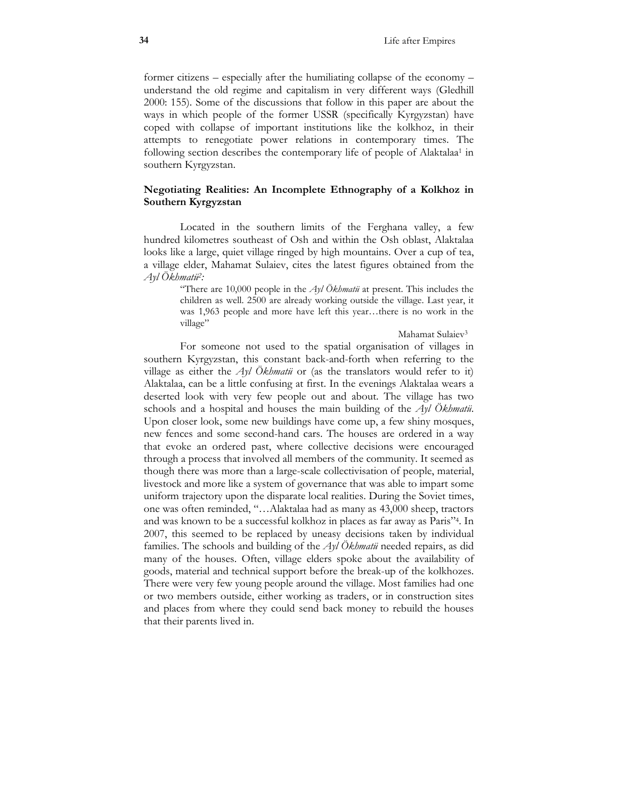former citizens – especially after the humiliating collapse of the economy – understand the old regime and capitalism in very different ways (Gledhill 2000: 155). Some of the discussions that follow in this paper are about the ways in which people of the former USSR (specifically Kyrgyzstan) have coped with collapse of important institutions like the kolkhoz, in their attempts to renegotiate power relations in contemporary times. The following section describes the contemporary life of people of Alaktalaa<sup>1</sup> in southern Kyrgyzstan.

### Negotiating Realities: An Incomplete Ethnography of a Kolkhoz in Southern Kyrgyzstan

 Located in the southern limits of the Ferghana valley, a few hundred kilometres southeast of Osh and within the Osh oblast, Alaktalaa looks like a large, quiet village ringed by high mountains. Over a cup of tea, a village elder, Mahamat Sulaiev, cites the latest figures obtained from the Ayl Ökhmatü<sup>2</sup>:

"There are 10,000 people in the  $Ay/Ökbmati$  at present. This includes the children as well. 2500 are already working outside the village. Last year, it was 1,963 people and more have left this year…there is no work in the village"

#### Mahamat Sulaiev<sup>3</sup>

 For someone not used to the spatial organisation of villages in southern Kyrgyzstan, this constant back-and-forth when referring to the village as either the  $Ayl$  Ökhmatü or (as the translators would refer to it) Alaktalaa, can be a little confusing at first. In the evenings Alaktalaa wears a deserted look with very few people out and about. The village has two schools and a hospital and houses the main building of the  $Ayl$  Okhmatü. Upon closer look, some new buildings have come up, a few shiny mosques, new fences and some second-hand cars. The houses are ordered in a way that evoke an ordered past, where collective decisions were encouraged through a process that involved all members of the community. It seemed as though there was more than a large-scale collectivisation of people, material, livestock and more like a system of governance that was able to impart some uniform trajectory upon the disparate local realities. During the Soviet times, one was often reminded, "…Alaktalaa had as many as 43,000 sheep, tractors and was known to be a successful kolkhoz in places as far away as Paris"<sup>4</sup> . In 2007, this seemed to be replaced by uneasy decisions taken by individual families. The schools and building of the  $Ay/0$ khmatu needed repairs, as did many of the houses. Often, village elders spoke about the availability of goods, material and technical support before the break-up of the kolkhozes. There were very few young people around the village. Most families had one or two members outside, either working as traders, or in construction sites and places from where they could send back money to rebuild the houses that their parents lived in.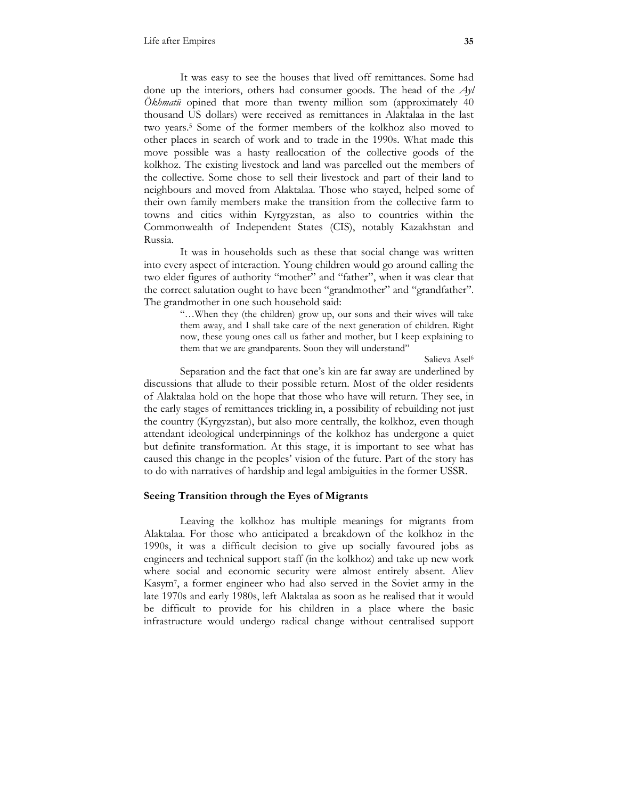It was easy to see the houses that lived off remittances. Some had done up the interiors, others had consumer goods. The head of the  $A\psi$ Ökhmatü opined that more than twenty million som (approximately 40 thousand US dollars) were received as remittances in Alaktalaa in the last two years.<sup>5</sup> Some of the former members of the kolkhoz also moved to other places in search of work and to trade in the 1990s. What made this move possible was a hasty reallocation of the collective goods of the kolkhoz. The existing livestock and land was parcelled out the members of the collective. Some chose to sell their livestock and part of their land to neighbours and moved from Alaktalaa. Those who stayed, helped some of their own family members make the transition from the collective farm to towns and cities within Kyrgyzstan, as also to countries within the Commonwealth of Independent States (CIS), notably Kazakhstan and Russia.

 It was in households such as these that social change was written into every aspect of interaction. Young children would go around calling the two elder figures of authority "mother" and "father", when it was clear that the correct salutation ought to have been "grandmother" and "grandfather". The grandmother in one such household said:

> "…When they (the children) grow up, our sons and their wives will take them away, and I shall take care of the next generation of children. Right now, these young ones call us father and mother, but I keep explaining to them that we are grandparents. Soon they will understand"

> > Salieva Asel<sup>6</sup>

 Separation and the fact that one's kin are far away are underlined by discussions that allude to their possible return. Most of the older residents of Alaktalaa hold on the hope that those who have will return. They see, in the early stages of remittances trickling in, a possibility of rebuilding not just the country (Kyrgyzstan), but also more centrally, the kolkhoz, even though attendant ideological underpinnings of the kolkhoz has undergone a quiet but definite transformation. At this stage, it is important to see what has caused this change in the peoples' vision of the future. Part of the story has to do with narratives of hardship and legal ambiguities in the former USSR.

#### Seeing Transition through the Eyes of Migrants

 Leaving the kolkhoz has multiple meanings for migrants from Alaktalaa. For those who anticipated a breakdown of the kolkhoz in the 1990s, it was a difficult decision to give up socially favoured jobs as engineers and technical support staff (in the kolkhoz) and take up new work where social and economic security were almost entirely absent. Aliev Kasym<sup>7</sup> , a former engineer who had also served in the Soviet army in the late 1970s and early 1980s, left Alaktalaa as soon as he realised that it would be difficult to provide for his children in a place where the basic infrastructure would undergo radical change without centralised support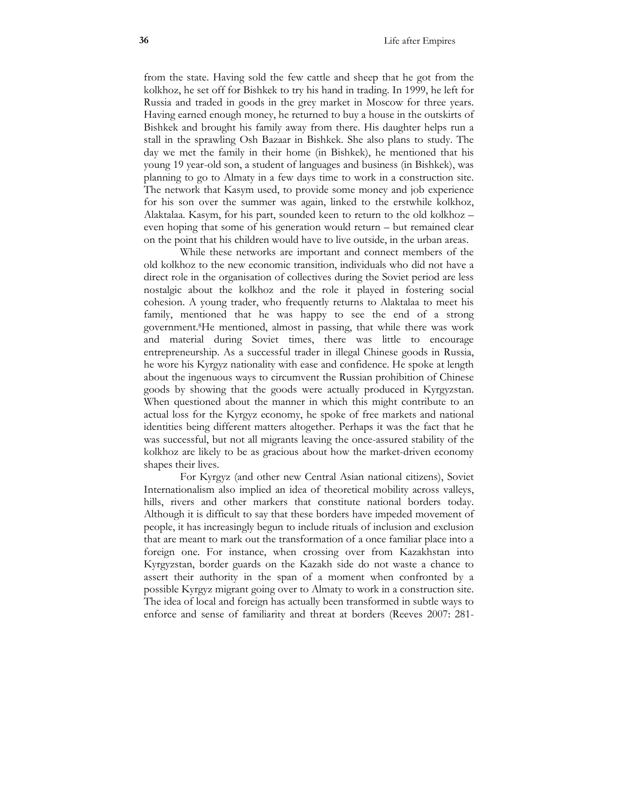from the state. Having sold the few cattle and sheep that he got from the kolkhoz, he set off for Bishkek to try his hand in trading. In 1999, he left for Russia and traded in goods in the grey market in Moscow for three years. Having earned enough money, he returned to buy a house in the outskirts of Bishkek and brought his family away from there. His daughter helps run a stall in the sprawling Osh Bazaar in Bishkek. She also plans to study. The day we met the family in their home (in Bishkek), he mentioned that his young 19 year-old son, a student of languages and business (in Bishkek), was planning to go to Almaty in a few days time to work in a construction site. The network that Kasym used, to provide some money and job experience for his son over the summer was again, linked to the erstwhile kolkhoz, Alaktalaa. Kasym, for his part, sounded keen to return to the old kolkhoz – even hoping that some of his generation would return – but remained clear on the point that his children would have to live outside, in the urban areas.

 While these networks are important and connect members of the old kolkhoz to the new economic transition, individuals who did not have a direct role in the organisation of collectives during the Soviet period are less nostalgic about the kolkhoz and the role it played in fostering social cohesion. A young trader, who frequently returns to Alaktalaa to meet his family, mentioned that he was happy to see the end of a strong government.8He mentioned, almost in passing, that while there was work and material during Soviet times, there was little to encourage entrepreneurship. As a successful trader in illegal Chinese goods in Russia, he wore his Kyrgyz nationality with ease and confidence. He spoke at length about the ingenuous ways to circumvent the Russian prohibition of Chinese goods by showing that the goods were actually produced in Kyrgyzstan. When questioned about the manner in which this might contribute to an actual loss for the Kyrgyz economy, he spoke of free markets and national identities being different matters altogether. Perhaps it was the fact that he was successful, but not all migrants leaving the once-assured stability of the kolkhoz are likely to be as gracious about how the market-driven economy shapes their lives.

 For Kyrgyz (and other new Central Asian national citizens), Soviet Internationalism also implied an idea of theoretical mobility across valleys, hills, rivers and other markers that constitute national borders today. Although it is difficult to say that these borders have impeded movement of people, it has increasingly begun to include rituals of inclusion and exclusion that are meant to mark out the transformation of a once familiar place into a foreign one. For instance, when crossing over from Kazakhstan into Kyrgyzstan, border guards on the Kazakh side do not waste a chance to assert their authority in the span of a moment when confronted by a possible Kyrgyz migrant going over to Almaty to work in a construction site. The idea of local and foreign has actually been transformed in subtle ways to enforce and sense of familiarity and threat at borders (Reeves 2007: 281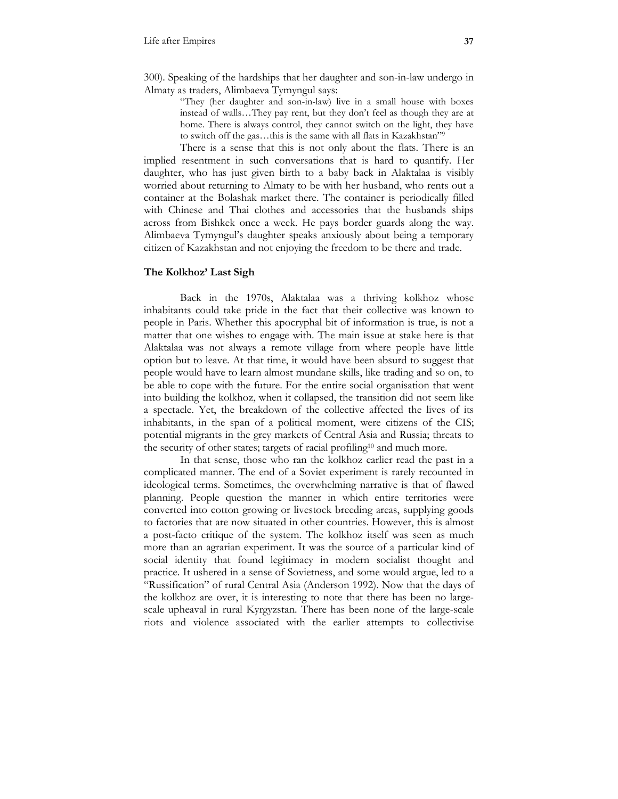300). Speaking of the hardships that her daughter and son-in-law undergo in Almaty as traders, Alimbaeva Tymyngul says:

> "They (her daughter and son-in-law) live in a small house with boxes instead of walls…They pay rent, but they don't feel as though they are at home. There is always control, they cannot switch on the light, they have to switch off the gas…this is the same with all flats in Kazakhstan"<sup>9</sup>

 There is a sense that this is not only about the flats. There is an implied resentment in such conversations that is hard to quantify. Her daughter, who has just given birth to a baby back in Alaktalaa is visibly worried about returning to Almaty to be with her husband, who rents out a container at the Bolashak market there. The container is periodically filled with Chinese and Thai clothes and accessories that the husbands ships across from Bishkek once a week. He pays border guards along the way. Alimbaeva Tymyngul's daughter speaks anxiously about being a temporary citizen of Kazakhstan and not enjoying the freedom to be there and trade.

#### The Kolkhoz' Last Sigh

 Back in the 1970s, Alaktalaa was a thriving kolkhoz whose inhabitants could take pride in the fact that their collective was known to people in Paris. Whether this apocryphal bit of information is true, is not a matter that one wishes to engage with. The main issue at stake here is that Alaktalaa was not always a remote village from where people have little option but to leave. At that time, it would have been absurd to suggest that people would have to learn almost mundane skills, like trading and so on, to be able to cope with the future. For the entire social organisation that went into building the kolkhoz, when it collapsed, the transition did not seem like a spectacle. Yet, the breakdown of the collective affected the lives of its inhabitants, in the span of a political moment, were citizens of the CIS; potential migrants in the grey markets of Central Asia and Russia; threats to the security of other states; targets of racial profiling <sup>10</sup> and much more.

 In that sense, those who ran the kolkhoz earlier read the past in a complicated manner. The end of a Soviet experiment is rarely recounted in ideological terms. Sometimes, the overwhelming narrative is that of flawed planning. People question the manner in which entire territories were converted into cotton growing or livestock breeding areas, supplying goods to factories that are now situated in other countries. However, this is almost a post-facto critique of the system. The kolkhoz itself was seen as much more than an agrarian experiment. It was the source of a particular kind of social identity that found legitimacy in modern socialist thought and practice. It ushered in a sense of Sovietness, and some would argue, led to a "Russification" of rural Central Asia (Anderson 1992). Now that the days of the kolkhoz are over, it is interesting to note that there has been no largescale upheaval in rural Kyrgyzstan. There has been none of the large-scale riots and violence associated with the earlier attempts to collectivise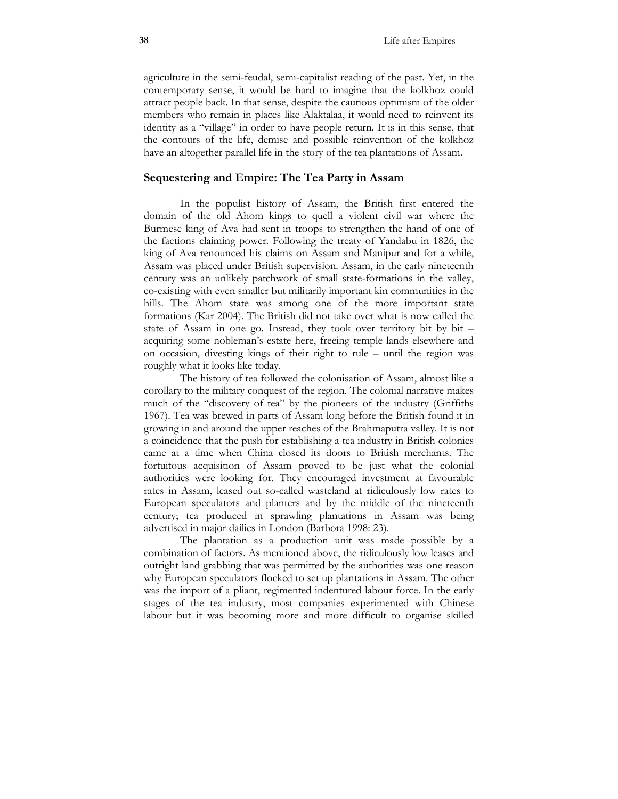agriculture in the semi-feudal, semi-capitalist reading of the past. Yet, in the contemporary sense, it would be hard to imagine that the kolkhoz could attract people back. In that sense, despite the cautious optimism of the older members who remain in places like Alaktalaa, it would need to reinvent its identity as a "village" in order to have people return. It is in this sense, that the contours of the life, demise and possible reinvention of the kolkhoz have an altogether parallel life in the story of the tea plantations of Assam.

#### Sequestering and Empire: The Tea Party in Assam

 In the populist history of Assam, the British first entered the domain of the old Ahom kings to quell a violent civil war where the Burmese king of Ava had sent in troops to strengthen the hand of one of the factions claiming power. Following the treaty of Yandabu in 1826, the king of Ava renounced his claims on Assam and Manipur and for a while, Assam was placed under British supervision. Assam, in the early nineteenth century was an unlikely patchwork of small state-formations in the valley, co-existing with even smaller but militarily important kin communities in the hills. The Ahom state was among one of the more important state formations (Kar 2004). The British did not take over what is now called the state of Assam in one go. Instead, they took over territory bit by bit – acquiring some nobleman's estate here, freeing temple lands elsewhere and on occasion, divesting kings of their right to rule – until the region was roughly what it looks like today.

 The history of tea followed the colonisation of Assam, almost like a corollary to the military conquest of the region. The colonial narrative makes much of the "discovery of tea" by the pioneers of the industry (Griffiths 1967). Tea was brewed in parts of Assam long before the British found it in growing in and around the upper reaches of the Brahmaputra valley. It is not a coincidence that the push for establishing a tea industry in British colonies came at a time when China closed its doors to British merchants. The fortuitous acquisition of Assam proved to be just what the colonial authorities were looking for. They encouraged investment at favourable rates in Assam, leased out so-called wasteland at ridiculously low rates to European speculators and planters and by the middle of the nineteenth century; tea produced in sprawling plantations in Assam was being advertised in major dailies in London (Barbora 1998: 23).

 The plantation as a production unit was made possible by a combination of factors. As mentioned above, the ridiculously low leases and outright land grabbing that was permitted by the authorities was one reason why European speculators flocked to set up plantations in Assam. The other was the import of a pliant, regimented indentured labour force. In the early stages of the tea industry, most companies experimented with Chinese labour but it was becoming more and more difficult to organise skilled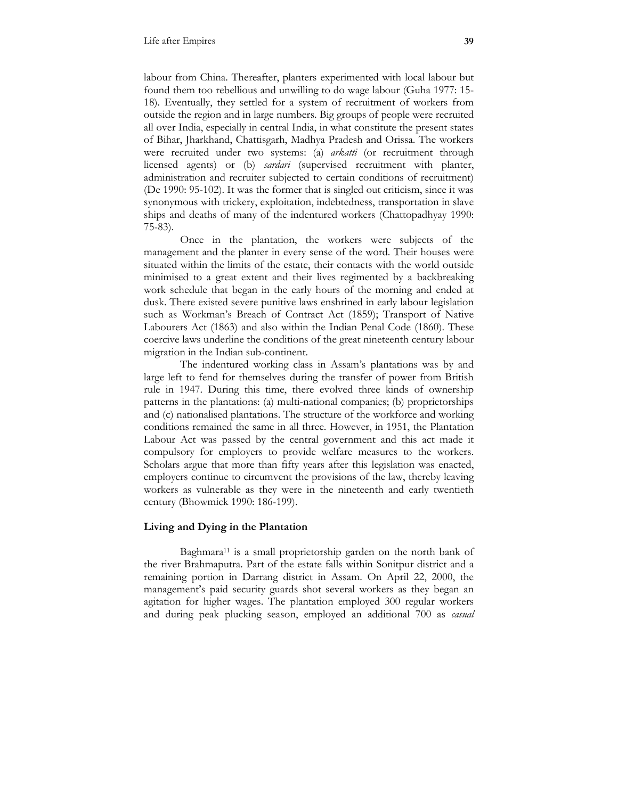labour from China. Thereafter, planters experimented with local labour but found them too rebellious and unwilling to do wage labour (Guha 1977: 15- 18). Eventually, they settled for a system of recruitment of workers from outside the region and in large numbers. Big groups of people were recruited all over India, especially in central India, in what constitute the present states of Bihar, Jharkhand, Chattisgarh, Madhya Pradesh and Orissa. The workers were recruited under two systems: (a) arkatti (or recruitment through licensed agents) or (b) *sardari* (supervised recruitment with planter, administration and recruiter subjected to certain conditions of recruitment) (De 1990: 95-102). It was the former that is singled out criticism, since it was synonymous with trickery, exploitation, indebtedness, transportation in slave ships and deaths of many of the indentured workers (Chattopadhyay 1990: 75-83).

 Once in the plantation, the workers were subjects of the management and the planter in every sense of the word. Their houses were situated within the limits of the estate, their contacts with the world outside minimised to a great extent and their lives regimented by a backbreaking work schedule that began in the early hours of the morning and ended at dusk. There existed severe punitive laws enshrined in early labour legislation such as Workman's Breach of Contract Act (1859); Transport of Native Labourers Act (1863) and also within the Indian Penal Code (1860). These coercive laws underline the conditions of the great nineteenth century labour migration in the Indian sub-continent.

 The indentured working class in Assam's plantations was by and large left to fend for themselves during the transfer of power from British rule in 1947. During this time, there evolved three kinds of ownership patterns in the plantations: (a) multi-national companies; (b) proprietorships and (c) nationalised plantations. The structure of the workforce and working conditions remained the same in all three. However, in 1951, the Plantation Labour Act was passed by the central government and this act made it compulsory for employers to provide welfare measures to the workers. Scholars argue that more than fifty years after this legislation was enacted, employers continue to circumvent the provisions of the law, thereby leaving workers as vulnerable as they were in the nineteenth and early twentieth century (Bhowmick 1990: 186-199).

#### Living and Dying in the Plantation

Baghmara<sup>11</sup> is a small proprietorship garden on the north bank of the river Brahmaputra. Part of the estate falls within Sonitpur district and a remaining portion in Darrang district in Assam. On April 22, 2000, the management's paid security guards shot several workers as they began an agitation for higher wages. The plantation employed 300 regular workers and during peak plucking season, employed an additional 700 as *casual*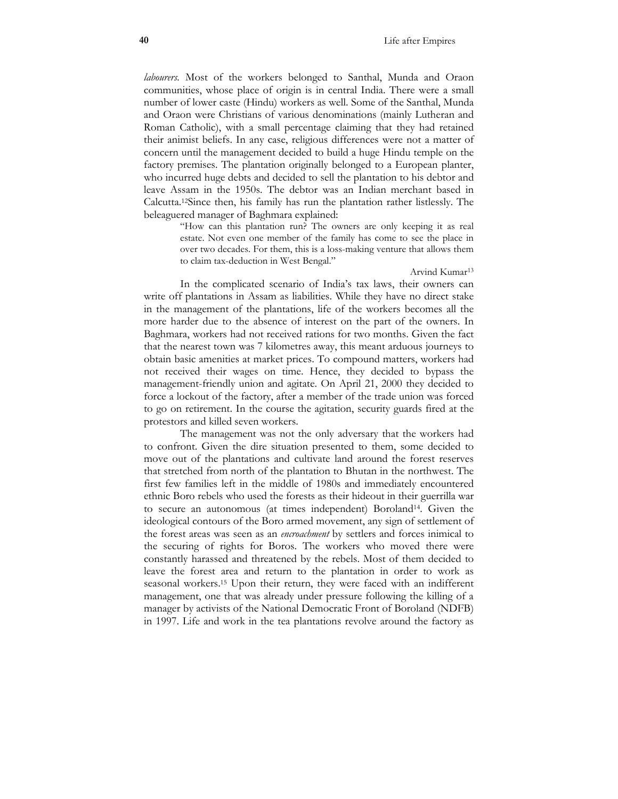labourers. Most of the workers belonged to Santhal, Munda and Oraon communities, whose place of origin is in central India. There were a small number of lower caste (Hindu) workers as well. Some of the Santhal, Munda and Oraon were Christians of various denominations (mainly Lutheran and Roman Catholic), with a small percentage claiming that they had retained their animist beliefs. In any case, religious differences were not a matter of concern until the management decided to build a huge Hindu temple on the factory premises. The plantation originally belonged to a European planter, who incurred huge debts and decided to sell the plantation to his debtor and leave Assam in the 1950s. The debtor was an Indian merchant based in Calcutta.12Since then, his family has run the plantation rather listlessly. The beleaguered manager of Baghmara explained:

> "How can this plantation run? The owners are only keeping it as real estate. Not even one member of the family has come to see the place in over two decades. For them, this is a loss-making venture that allows them to claim tax-deduction in West Bengal."

#### Arvind Kumar<sup>13</sup>

 In the complicated scenario of India's tax laws, their owners can write off plantations in Assam as liabilities. While they have no direct stake in the management of the plantations, life of the workers becomes all the more harder due to the absence of interest on the part of the owners. In Baghmara, workers had not received rations for two months. Given the fact that the nearest town was 7 kilometres away, this meant arduous journeys to obtain basic amenities at market prices. To compound matters, workers had not received their wages on time. Hence, they decided to bypass the management-friendly union and agitate. On April 21, 2000 they decided to force a lockout of the factory, after a member of the trade union was forced to go on retirement. In the course the agitation, security guards fired at the protestors and killed seven workers.

 The management was not the only adversary that the workers had to confront. Given the dire situation presented to them, some decided to move out of the plantations and cultivate land around the forest reserves that stretched from north of the plantation to Bhutan in the northwest. The first few families left in the middle of 1980s and immediately encountered ethnic Boro rebels who used the forests as their hideout in their guerrilla war to secure an autonomous (at times independent) Boroland14. Given the ideological contours of the Boro armed movement, any sign of settlement of the forest areas was seen as an *encroachment* by settlers and forces inimical to the securing of rights for Boros. The workers who moved there were constantly harassed and threatened by the rebels. Most of them decided to leave the forest area and return to the plantation in order to work as seasonal workers.15 Upon their return, they were faced with an indifferent management, one that was already under pressure following the killing of a manager by activists of the National Democratic Front of Boroland (NDFB) in 1997. Life and work in the tea plantations revolve around the factory as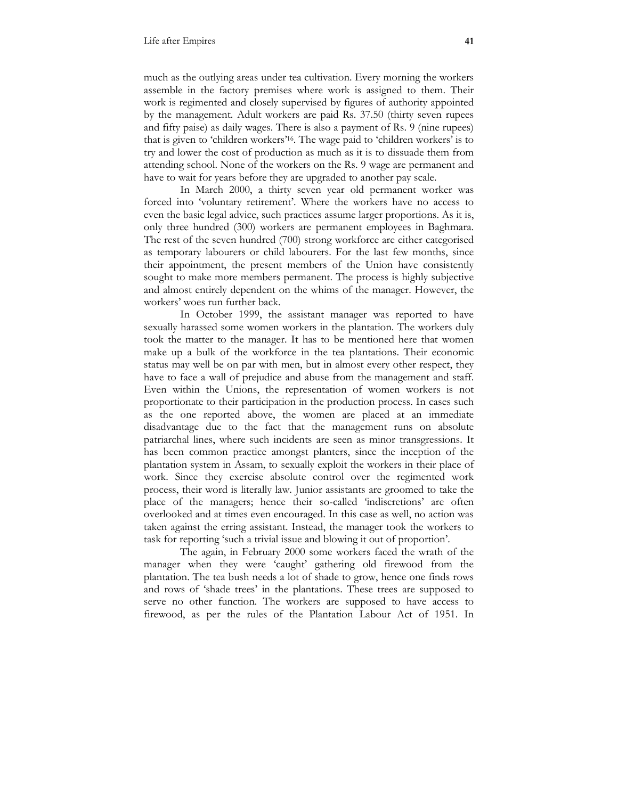much as the outlying areas under tea cultivation. Every morning the workers assemble in the factory premises where work is assigned to them. Their work is regimented and closely supervised by figures of authority appointed by the management. Adult workers are paid Rs. 37.50 (thirty seven rupees and fifty paise) as daily wages. There is also a payment of Rs. 9 (nine rupees) that is given to 'children workers'16. The wage paid to 'children workers' is to try and lower the cost of production as much as it is to dissuade them from attending school. None of the workers on the Rs. 9 wage are permanent and have to wait for years before they are upgraded to another pay scale.

 In March 2000, a thirty seven year old permanent worker was forced into 'voluntary retirement'. Where the workers have no access to even the basic legal advice, such practices assume larger proportions. As it is, only three hundred (300) workers are permanent employees in Baghmara. The rest of the seven hundred (700) strong workforce are either categorised as temporary labourers or child labourers. For the last few months, since their appointment, the present members of the Union have consistently sought to make more members permanent. The process is highly subjective and almost entirely dependent on the whims of the manager. However, the workers' woes run further back.

 In October 1999, the assistant manager was reported to have sexually harassed some women workers in the plantation. The workers duly took the matter to the manager. It has to be mentioned here that women make up a bulk of the workforce in the tea plantations. Their economic status may well be on par with men, but in almost every other respect, they have to face a wall of prejudice and abuse from the management and staff. Even within the Unions, the representation of women workers is not proportionate to their participation in the production process. In cases such as the one reported above, the women are placed at an immediate disadvantage due to the fact that the management runs on absolute patriarchal lines, where such incidents are seen as minor transgressions. It has been common practice amongst planters, since the inception of the plantation system in Assam, to sexually exploit the workers in their place of work. Since they exercise absolute control over the regimented work process, their word is literally law. Junior assistants are groomed to take the place of the managers; hence their so-called 'indiscretions' are often overlooked and at times even encouraged. In this case as well, no action was taken against the erring assistant. Instead, the manager took the workers to task for reporting 'such a trivial issue and blowing it out of proportion'.

 The again, in February 2000 some workers faced the wrath of the manager when they were 'caught' gathering old firewood from the plantation. The tea bush needs a lot of shade to grow, hence one finds rows and rows of 'shade trees' in the plantations. These trees are supposed to serve no other function. The workers are supposed to have access to firewood, as per the rules of the Plantation Labour Act of 1951. In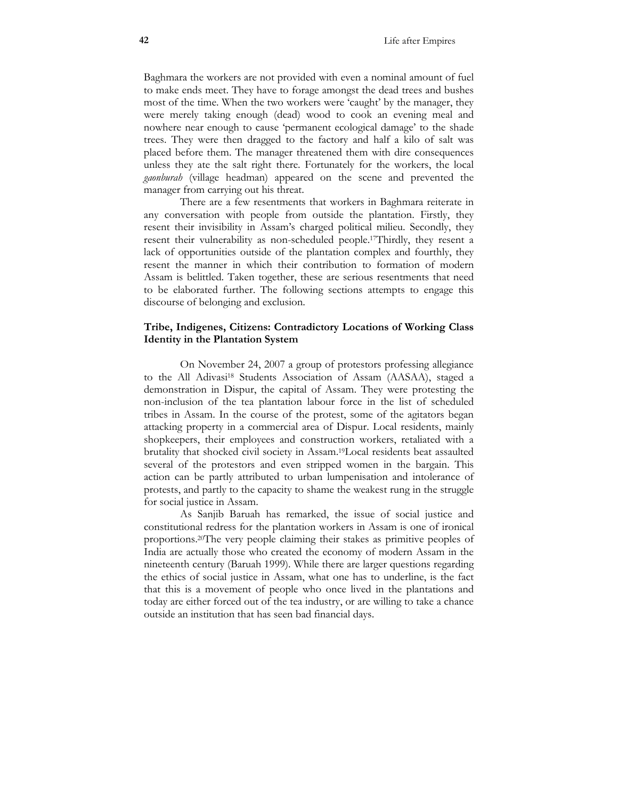Baghmara the workers are not provided with even a nominal amount of fuel to make ends meet. They have to forage amongst the dead trees and bushes most of the time. When the two workers were 'caught' by the manager, they were merely taking enough (dead) wood to cook an evening meal and nowhere near enough to cause 'permanent ecological damage' to the shade trees. They were then dragged to the factory and half a kilo of salt was placed before them. The manager threatened them with dire consequences unless they ate the salt right there. Fortunately for the workers, the local gaonburah (village headman) appeared on the scene and prevented the manager from carrying out his threat.

 There are a few resentments that workers in Baghmara reiterate in any conversation with people from outside the plantation. Firstly, they resent their invisibility in Assam's charged political milieu. Secondly, they resent their vulnerability as non-scheduled people.17Thirdly, they resent a lack of opportunities outside of the plantation complex and fourthly, they resent the manner in which their contribution to formation of modern Assam is belittled. Taken together, these are serious resentments that need to be elaborated further. The following sections attempts to engage this discourse of belonging and exclusion.

#### Tribe, Indigenes, Citizens: Contradictory Locations of Working Class Identity in the Plantation System

 On November 24, 2007 a group of protestors professing allegiance to the All Adivasi<sup>18</sup> Students Association of Assam (AASAA), staged a demonstration in Dispur, the capital of Assam. They were protesting the non-inclusion of the tea plantation labour force in the list of scheduled tribes in Assam. In the course of the protest, some of the agitators began attacking property in a commercial area of Dispur. Local residents, mainly shopkeepers, their employees and construction workers, retaliated with a brutality that shocked civil society in Assam.19Local residents beat assaulted several of the protestors and even stripped women in the bargain. This action can be partly attributed to urban lumpenisation and intolerance of protests, and partly to the capacity to shame the weakest rung in the struggle for social justice in Assam.

 As Sanjib Baruah has remarked, the issue of social justice and constitutional redress for the plantation workers in Assam is one of ironical proportions.20The very people claiming their stakes as primitive peoples of India are actually those who created the economy of modern Assam in the nineteenth century (Baruah 1999). While there are larger questions regarding the ethics of social justice in Assam, what one has to underline, is the fact that this is a movement of people who once lived in the plantations and today are either forced out of the tea industry, or are willing to take a chance outside an institution that has seen bad financial days.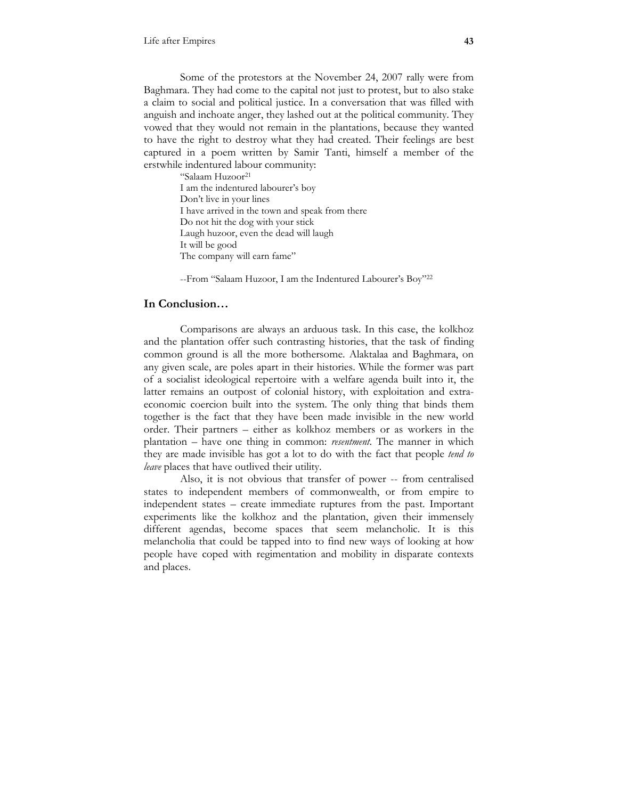Some of the protestors at the November 24, 2007 rally were from Baghmara. They had come to the capital not just to protest, but to also stake a claim to social and political justice. In a conversation that was filled with anguish and inchoate anger, they lashed out at the political community. They vowed that they would not remain in the plantations, because they wanted to have the right to destroy what they had created. Their feelings are best captured in a poem written by Samir Tanti, himself a member of the erstwhile indentured labour community:

> "Salaam Huzoor<sup>21</sup> I am the indentured labourer's boy Don't live in your lines I have arrived in the town and speak from there Do not hit the dog with your stick Laugh huzoor, even the dead will laugh It will be good The company will earn fame"

--From "Salaam Huzoor, I am the Indentured Labourer's Boy"<sup>22</sup>

#### In Conclusion…

 Comparisons are always an arduous task. In this case, the kolkhoz and the plantation offer such contrasting histories, that the task of finding common ground is all the more bothersome. Alaktalaa and Baghmara, on any given scale, are poles apart in their histories. While the former was part of a socialist ideological repertoire with a welfare agenda built into it, the latter remains an outpost of colonial history, with exploitation and extraeconomic coercion built into the system. The only thing that binds them together is the fact that they have been made invisible in the new world order. Their partners – either as kolkhoz members or as workers in the plantation – have one thing in common: *resentment*. The manner in which they are made invisible has got a lot to do with the fact that people tend to leave places that have outlived their utility.

 Also, it is not obvious that transfer of power -- from centralised states to independent members of commonwealth, or from empire to independent states – create immediate ruptures from the past. Important experiments like the kolkhoz and the plantation, given their immensely different agendas, become spaces that seem melancholic. It is this melancholia that could be tapped into to find new ways of looking at how people have coped with regimentation and mobility in disparate contexts and places.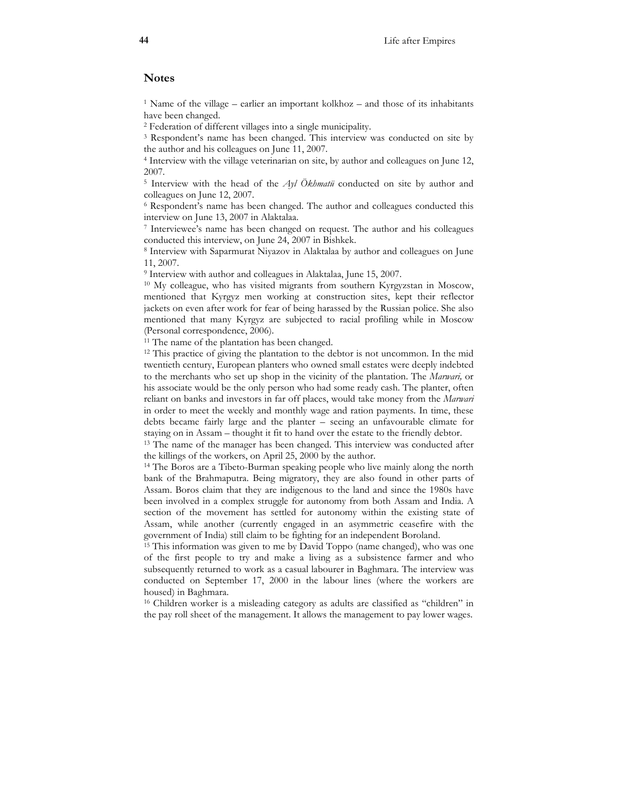## **Notes**

<sup>1</sup> Name of the village – earlier an important kolkhoz – and those of its inhabitants have been changed.

2 Federation of different villages into a single municipality.

3 Respondent's name has been changed. This interview was conducted on site by the author and his colleagues on June 11, 2007.

4 Interview with the village veterinarian on site, by author and colleagues on June 12, 2007.

<sup>5</sup> Interview with the head of the  $Ay/OBkbm{t}$  conducted on site by author and colleagues on June 12, 2007.

6 Respondent's name has been changed. The author and colleagues conducted this interview on June 13, 2007 in Alaktalaa.

7 Interviewee's name has been changed on request. The author and his colleagues conducted this interview, on June 24, 2007 in Bishkek.

8 Interview with Saparmurat Niyazov in Alaktalaa by author and colleagues on June 11, 2007.

9 Interview with author and colleagues in Alaktalaa, June 15, 2007.

<sup>10</sup> My colleague, who has visited migrants from southern Kyrgyzstan in Moscow, mentioned that Kyrgyz men working at construction sites, kept their reflector jackets on even after work for fear of being harassed by the Russian police. She also mentioned that many Kyrgyz are subjected to racial profiling while in Moscow (Personal correspondence, 2006).

<sup>11</sup> The name of the plantation has been changed.

<sup>12</sup> This practice of giving the plantation to the debtor is not uncommon. In the mid twentieth century, European planters who owned small estates were deeply indebted to the merchants who set up shop in the vicinity of the plantation. The Marwari, or his associate would be the only person who had some ready cash. The planter, often reliant on banks and investors in far off places, would take money from the Marwari in order to meet the weekly and monthly wage and ration payments. In time, these debts became fairly large and the planter – seeing an unfavourable climate for staying on in Assam – thought it fit to hand over the estate to the friendly debtor.

<sup>13</sup> The name of the manager has been changed. This interview was conducted after the killings of the workers, on April 25, 2000 by the author.

<sup>14</sup> The Boros are a Tibeto-Burman speaking people who live mainly along the north bank of the Brahmaputra. Being migratory, they are also found in other parts of Assam. Boros claim that they are indigenous to the land and since the 1980s have been involved in a complex struggle for autonomy from both Assam and India. A section of the movement has settled for autonomy within the existing state of Assam, while another (currently engaged in an asymmetric ceasefire with the government of India) still claim to be fighting for an independent Boroland.

<sup>15</sup> This information was given to me by David Toppo (name changed), who was one of the first people to try and make a living as a subsistence farmer and who subsequently returned to work as a casual labourer in Baghmara. The interview was conducted on September 17, 2000 in the labour lines (where the workers are housed) in Baghmara.

<sup>16</sup> Children worker is a misleading category as adults are classified as "children" in the pay roll sheet of the management. It allows the management to pay lower wages.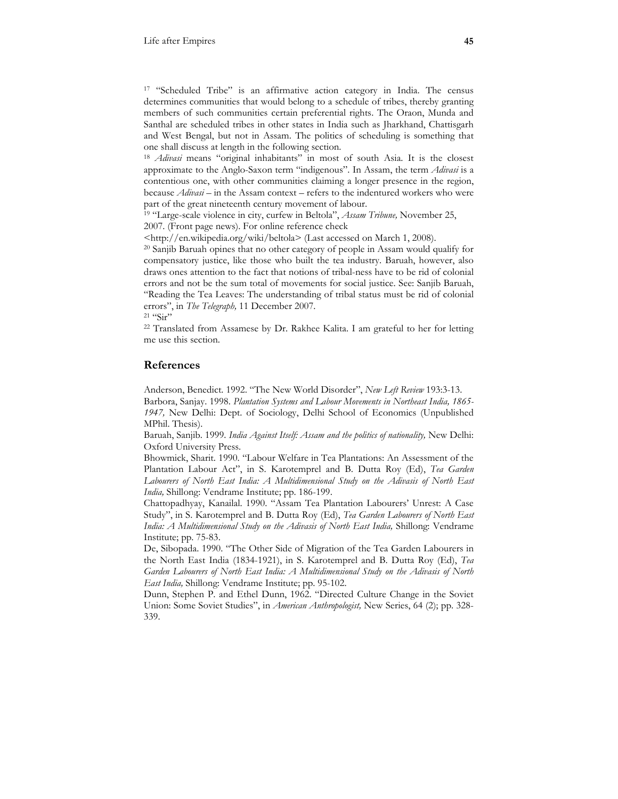<sup>17</sup> "Scheduled Tribe" is an affirmative action category in India. The census determines communities that would belong to a schedule of tribes, thereby granting members of such communities certain preferential rights. The Oraon, Munda and Santhal are scheduled tribes in other states in India such as Jharkhand, Chattisgarh and West Bengal, but not in Assam. The politics of scheduling is something that one shall discuss at length in the following section.

<sup>18</sup> Adivasi means "original inhabitants" in most of south Asia. It is the closest approximate to the Anglo-Saxon term "indigenous". In Assam, the term Adivasi is a contentious one, with other communities claiming a longer presence in the region, because Adivasi – in the Assam context – refers to the indentured workers who were part of the great nineteenth century movement of labour.

<sup>19</sup> "Large-scale violence in city, curfew in Beltola", Assam Tribune, November 25, 2007. (Front page news). For online reference check

<http://en.wikipedia.org/wiki/beltola> (Last accessed on March 1, 2008).

<sup>20</sup> Sanjib Baruah opines that no other category of people in Assam would qualify for compensatory justice, like those who built the tea industry. Baruah, however, also draws ones attention to the fact that notions of tribal-ness have to be rid of colonial errors and not be the sum total of movements for social justice. See: Sanjib Baruah, "Reading the Tea Leaves: The understanding of tribal status must be rid of colonial errors", in The Telegraph, 11 December 2007.  $21$  "Sir"

<sup>22</sup> Translated from Assamese by Dr. Rakhee Kalita. I am grateful to her for letting me use this section.

#### References

Anderson, Benedict. 1992. "The New World Disorder", New Left Review 193:3-13. Barbora, Sanjay. 1998. Plantation Systems and Labour Movements in Northeast India, 1865- 1947, New Delhi: Dept. of Sociology, Delhi School of Economics (Unpublished MPhil. Thesis).

Baruah, Sanjib. 1999. India Against Itself: Assam and the politics of nationality, New Delhi: Oxford University Press.

Bhowmick, Sharit. 1990. "Labour Welfare in Tea Plantations: An Assessment of the Plantation Labour Act", in S. Karotemprel and B. Dutta Roy (Ed), Tea Garden Labourers of North East India: A Multidimensional Study on the Adivasis of North East India, Shillong: Vendrame Institute; pp. 186-199.

Chattopadhyay, Kanailal. 1990. "Assam Tea Plantation Labourers' Unrest: A Case Study", in S. Karotemprel and B. Dutta Roy (Ed), Tea Garden Labourers of North East India: A Multidimensional Study on the Adivasis of North East India, Shillong: Vendrame Institute; pp. 75-83.

De, Sibopada. 1990. "The Other Side of Migration of the Tea Garden Labourers in the North East India (1834-1921), in S. Karotemprel and B. Dutta Roy (Ed), Tea Garden Labourers of North East India: A Multidimensional Study on the Adivasis of North East India, Shillong: Vendrame Institute; pp. 95-102.

Dunn, Stephen P. and Ethel Dunn, 1962. "Directed Culture Change in the Soviet Union: Some Soviet Studies", in American Anthropologist, New Series, 64 (2); pp. 328- 339.